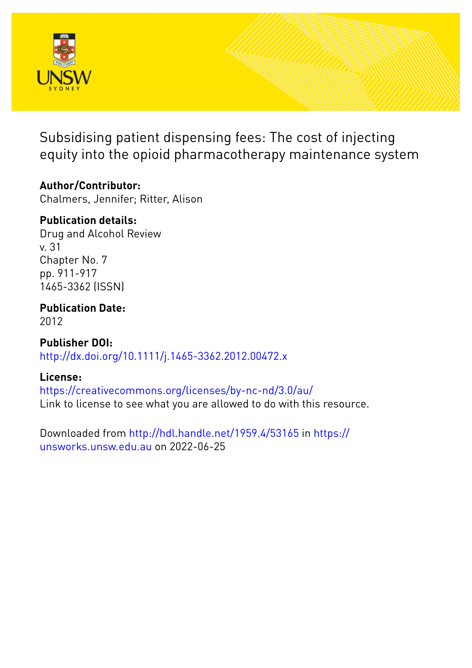

Subsidising patient dispensing fees: The cost of injecting equity into the opioid pharmacotherapy maintenance system

# **Author/Contributor:**

Chalmers, Jennifer; Ritter, Alison

# **Publication details:**

Drug and Alcohol Review v. 31 Chapter No. 7 pp. 911-917 1465-3362 (ISSN)

**Publication Date:** 2012

**Publisher DOI:** [http://dx.doi.org/10.1111/j.1465-3362.2012.00472.x](http://dx.doi.org/http://dx.doi.org/10.1111/j.1465-3362.2012.00472.x)

# **License:**

<https://creativecommons.org/licenses/by-nc-nd/3.0/au/> Link to license to see what you are allowed to do with this resource.

Downloaded from <http://hdl.handle.net/1959.4/53165> in [https://](https://unsworks.unsw.edu.au) [unsworks.unsw.edu.au](https://unsworks.unsw.edu.au) on 2022-06-25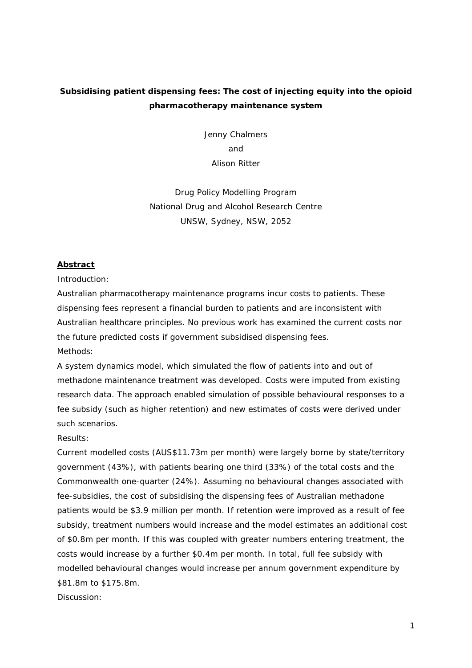# **Subsidising patient dispensing fees: The cost of injecting equity into the opioid pharmacotherapy maintenance system**

Jenny Chalmers and Alison Ritter

Drug Policy Modelling Program National Drug and Alcohol Research Centre UNSW, Sydney, NSW, 2052

### **Abstract**

Introduction:

Australian pharmacotherapy maintenance programs incur costs to patients. These dispensing fees represent a financial burden to patients and are inconsistent with Australian healthcare principles. No previous work has examined the current costs nor the future predicted costs if government subsidised dispensing fees. Methods:

A system dynamics model, which simulated the flow of patients into and out of methadone maintenance treatment was developed. Costs were imputed from existing research data. The approach enabled simulation of possible behavioural responses to a fee subsidy (such as higher retention) and new estimates of costs were derived under such scenarios.

Results:

Current modelled costs (AUS\$11.73m per month) were largely borne by state/territory government (43%), with patients bearing one third (33%) of the total costs and the Commonwealth one-quarter (24%). Assuming no behavioural changes associated with fee-subsidies, the cost of subsidising the dispensing fees of Australian methadone patients would be \$3.9 million per month. If retention were improved as a result of fee subsidy, treatment numbers would increase and the model estimates an additional cost of \$0.8m per month. If this was coupled with greater numbers entering treatment, the costs would increase by a further \$0.4m per month. In total, full fee subsidy with modelled behavioural changes would increase per annum government expenditure by \$81.8m to \$175.8m.

Discussion: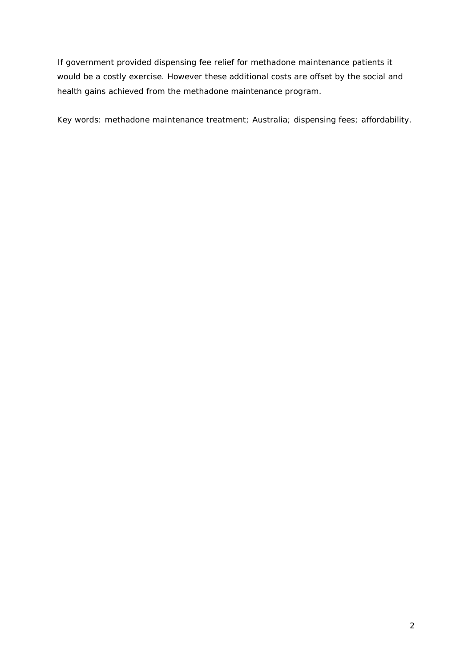If government provided dispensing fee relief for methadone maintenance patients it would be a costly exercise. However these additional costs are offset by the social and health gains achieved from the methadone maintenance program.

Key words: methadone maintenance treatment; Australia; dispensing fees; affordability.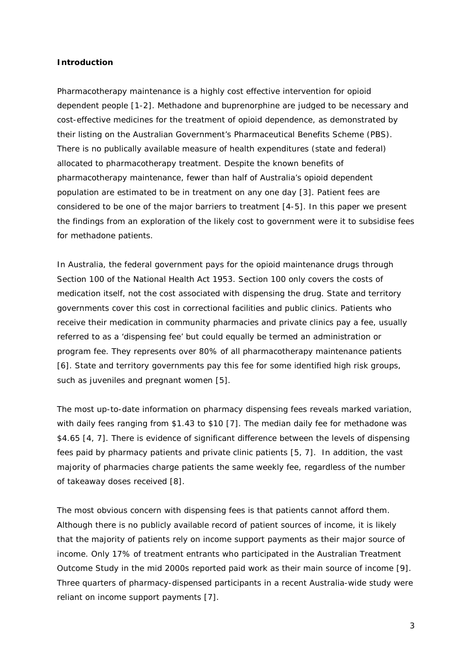### **Introduction**

Pharmacotherapy maintenance is a highly cost effective intervention for opioid dependent people [1-2]. Methadone and buprenorphine are judged to be necessary and cost-effective medicines for the treatment of opioid dependence, as demonstrated by their listing on the Australian Government's Pharmaceutical Benefits Scheme (PBS). There is no publically available measure of health expenditures (state and federal) allocated to pharmacotherapy treatment. Despite the known benefits of pharmacotherapy maintenance, fewer than half of Australia's opioid dependent population are estimated to be in treatment on any one day [3]. Patient fees are considered to be one of the major barriers to treatment [4-5]. In this paper we present the findings from an exploration of the likely cost to government were it to subsidise fees for methadone patients.

In Australia, the federal government pays for the opioid maintenance drugs through Section 100 of the *National Health Act 1953*. Section 100 only covers the costs of medication itself, not the cost associated with dispensing the drug. State and territory governments cover this cost in correctional facilities and public clinics. Patients who receive their medication in community pharmacies and private clinics pay a fee, usually referred to as a 'dispensing fee' but could equally be termed an administration or program fee. They represents over 80% of all pharmacotherapy maintenance patients [6]. State and territory governments pay this fee for some identified high risk groups, such as juveniles and pregnant women [5].

The most up-to-date information on pharmacy dispensing fees reveals marked variation, with daily fees ranging from \$1.43 to \$10 [7]. The median daily fee for methadone was \$4.65 [4, 7]. There is evidence of significant difference between the levels of dispensing fees paid by pharmacy patients and private clinic patients [5, 7]. In addition, the vast majority of pharmacies charge patients the same weekly fee, regardless of the number of takeaway doses received [8].

The most obvious concern with dispensing fees is that patients cannot afford them. Although there is no publicly available record of patient sources of income, it is likely that the majority of patients rely on income support payments as their major source of income. Only 17% of treatment entrants who participated in the Australian Treatment Outcome Study in the mid 2000s reported paid work as their main source of income [9]. Three quarters of pharmacy-dispensed participants in a recent Australia-wide study were reliant on income support payments [7].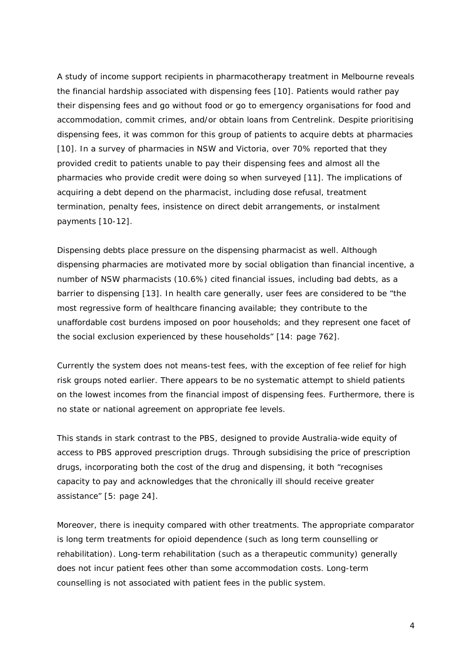A study of income support recipients in pharmacotherapy treatment in Melbourne reveals the financial hardship associated with dispensing fees [10]. Patients would rather pay their dispensing fees and go without food or go to emergency organisations for food and accommodation, commit crimes, and/or obtain loans from Centrelink. Despite prioritising dispensing fees, it was common for this group of patients to acquire debts at pharmacies [10]. In a survey of pharmacies in NSW and Victoria, over 70% reported that they provided credit to patients unable to pay their dispensing fees and almost all the pharmacies who provide credit were doing so when surveyed [11]. The implications of acquiring a debt depend on the pharmacist, including dose refusal, treatment termination, penalty fees, insistence on direct debit arrangements, or instalment payments [10-12].

Dispensing debts place pressure on the dispensing pharmacist as well. Although dispensing pharmacies are motivated more by social obligation than financial incentive, a number of NSW pharmacists (10.6%) cited financial issues, including bad debts, as a barrier to dispensing [13]. In health care generally, user fees are considered to be "the most regressive form of healthcare financing available; they contribute to the unaffordable cost burdens imposed on poor households; and they represent one facet of the social exclusion experienced by these households" [14: page 762].

Currently the system does not means-test fees, with the exception of fee relief for high risk groups noted earlier. There appears to be no systematic attempt to shield patients on the lowest incomes from the financial impost of dispensing fees. Furthermore, there is no state or national agreement on appropriate fee levels.

This stands in stark contrast to the PBS, designed to provide Australia-wide equity of access to PBS approved prescription drugs. Through subsidising the price of prescription drugs, incorporating both the cost of the drug and dispensing, it both "recognises capacity to pay and acknowledges that the chronically ill should receive greater assistance" [5: page 24].

Moreover, there is inequity compared with other treatments. The appropriate comparator is long term treatments for opioid dependence (such as long term counselling or rehabilitation). Long-term rehabilitation (such as a therapeutic community) generally does not incur patient fees other than some accommodation costs. Long-term counselling is not associated with patient fees in the public system.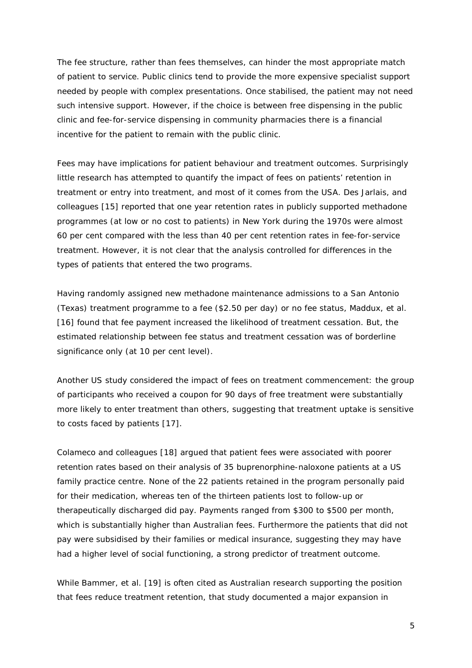The fee structure, rather than fees themselves, can hinder the most appropriate match of patient to service. Public clinics tend to provide the more expensive specialist support needed by people with complex presentations. Once stabilised, the patient may not need such intensive support. However, if the choice is between free dispensing in the public clinic and fee-for-service dispensing in community pharmacies there is a financial incentive for the patient to remain with the public clinic.

Fees may have implications for patient behaviour and treatment outcomes. Surprisingly little research has attempted to quantify the impact of fees on patients' retention in treatment or entry into treatment, and most of it comes from the USA. Des Jarlais, and colleagues [15] reported that one year retention rates in publicly supported methadone programmes (at low or no cost to patients) in New York during the 1970s were almost 60 per cent compared with the less than 40 per cent retention rates in fee-for-service treatment. However, it is not clear that the analysis controlled for differences in the types of patients that entered the two programs.

Having randomly assigned new methadone maintenance admissions to a San Antonio (Texas) treatment programme to a fee (\$2.50 per day) or no fee status, Maddux, et al. [16] found that fee payment increased the likelihood of treatment cessation. But, the estimated relationship between fee status and treatment cessation was of borderline significance only (at 10 per cent level).

Another US study considered the impact of fees on treatment commencement: the group of participants who received a coupon for 90 days of free treatment were substantially more likely to enter treatment than others, suggesting that treatment uptake is sensitive to costs faced by patients [17].

Colameco and colleagues [18] argued that patient fees were associated with poorer retention rates based on their analysis of 35 buprenorphine-naloxone patients at a US family practice centre. None of the 22 patients retained in the program personally paid for their medication, whereas ten of the thirteen patients lost to follow-up or therapeutically discharged did pay. Payments ranged from \$300 to \$500 per month, which is substantially higher than Australian fees. Furthermore the patients that did not pay were subsidised by their families or medical insurance, suggesting they may have had a higher level of social functioning, a strong predictor of treatment outcome.

While Bammer, et al. [19] is often cited as Australian research supporting the position that fees reduce treatment retention, that study documented a major expansion in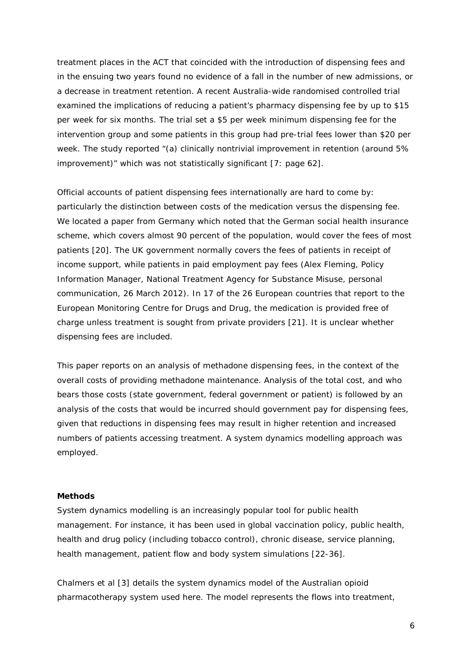treatment places in the ACT that coincided with the introduction of dispensing fees and in the ensuing two years found no evidence of a fall in the number of new admissions, or a decrease in treatment retention. A recent Australia-wide randomised controlled trial examined the implications of reducing a patient's pharmacy dispensing fee by up to \$15 per week for six months. The trial set a \$5 per week minimum dispensing fee for the intervention group and some patients in this group had pre-trial fees lower than \$20 per week. The study reported "(a) clinically nontrivial improvement in retention (around 5% improvement)" which was not statistically significant [7: page 62].

Official accounts of patient dispensing fees internationally are hard to come by: particularly the distinction between costs of the medication versus the dispensing fee. We located a paper from Germany which noted that the German social health insurance scheme, which covers almost 90 percent of the population, would cover the fees of most patients [20]. The UK government normally covers the fees of patients in receipt of income support, while patients in paid employment pay fees (Alex Fleming, Policy Information Manager, National Treatment Agency for Substance Misuse, personal communication, 26 March 2012). In 17 of the 26 European countries that report to the European Monitoring Centre for Drugs and Drug, the medication is provided free of charge unless treatment is sought from private providers [21]. It is unclear whether dispensing fees are included.

This paper reports on an analysis of methadone dispensing fees, in the context of the overall costs of providing methadone maintenance. Analysis of the total cost, and who bears those costs (state government, federal government or patient) is followed by an analysis of the costs that would be incurred should government pay for dispensing fees, given that reductions in dispensing fees may result in higher retention and increased numbers of patients accessing treatment. A system dynamics modelling approach was employed.

#### **Methods**

System dynamics modelling is an increasingly popular tool for public health management. For instance, it has been used in global vaccination policy, public health, health and drug policy (including tobacco control), chronic disease, service planning, health management, patient flow and body system simulations [22-36].

Chalmers et al [3] details the system dynamics model of the Australian opioid pharmacotherapy system used here. The model represents the flows into treatment,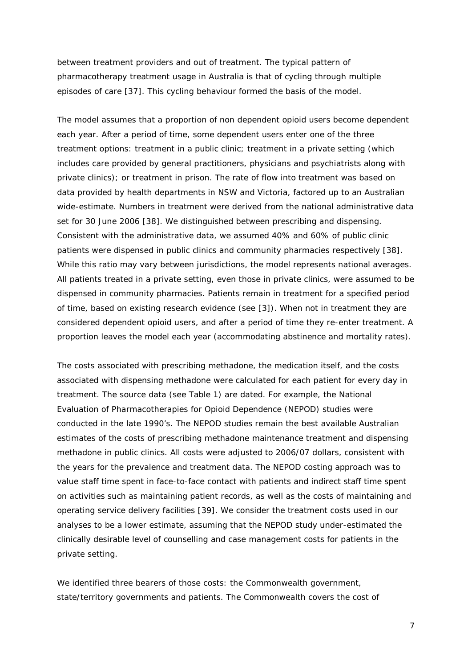between treatment providers and out of treatment. The typical pattern of pharmacotherapy treatment usage in Australia is that of cycling through multiple episodes of care [37]. This cycling behaviour formed the basis of the model.

The model assumes that a proportion of non dependent opioid users become dependent each year. After a period of time, some dependent users enter one of the three treatment options: treatment in a public clinic; treatment in a private setting (which includes care provided by general practitioners, physicians and psychiatrists along with private clinics); or treatment in prison. The rate of flow into treatment was based on data provided by health departments in NSW and Victoria, factored up to an Australian wide-estimate. Numbers in treatment were derived from the national administrative data set for 30 June 2006 [38]. We distinguished between prescribing and dispensing. Consistent with the administrative data, we assumed 40% and 60% of public clinic patients were dispensed in public clinics and community pharmacies respectively [38]. While this ratio may vary between jurisdictions, the model represents national averages. All patients treated in a private setting, even those in private clinics, were assumed to be dispensed in community pharmacies. Patients remain in treatment for a specified period of time, based on existing research evidence (see [3]). When not in treatment they are considered dependent opioid users, and after a period of time they re-enter treatment. A proportion leaves the model each year (accommodating abstinence and mortality rates).

The costs associated with prescribing methadone, the medication itself, and the costs associated with dispensing methadone were calculated for each patient for every day in treatment. The source data (see Table 1) are dated. For example, the National Evaluation of Pharmacotherapies for Opioid Dependence (NEPOD) studies were conducted in the late 1990's. The NEPOD studies remain the best available Australian estimates of the costs of prescribing methadone maintenance treatment and dispensing methadone in public clinics. All costs were adjusted to 2006/07 dollars, consistent with the years for the prevalence and treatment data. The NEPOD costing approach was to value staff time spent in face-to-face contact with patients and indirect staff time spent on activities such as maintaining patient records, as well as the costs of maintaining and operating service delivery facilities [39]. We consider the treatment costs used in our analyses to be a lower estimate, assuming that the NEPOD study under-estimated the clinically desirable level of counselling and case management costs for patients in the private setting.

We identified three bearers of those costs: the Commonwealth government, state/territory governments and patients. The Commonwealth covers the cost of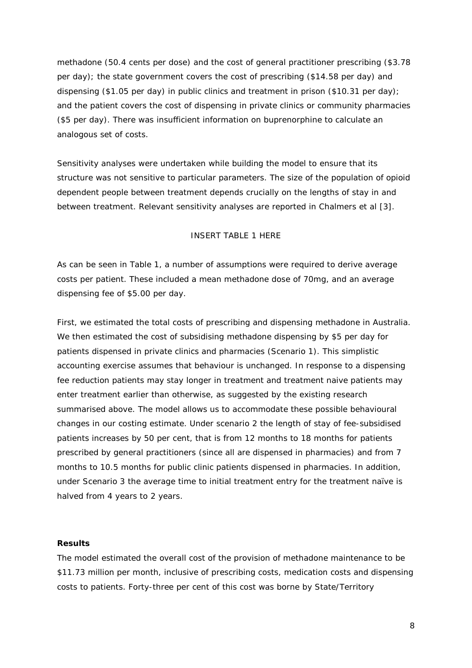methadone (50.4 cents per dose) and the cost of general practitioner prescribing (\$3.78 per day); the state government covers the cost of prescribing (\$14.58 per day) and dispensing (\$1.05 per day) in public clinics and treatment in prison (\$10.31 per day); and the patient covers the cost of dispensing in private clinics or community pharmacies (\$5 per day). There was insufficient information on buprenorphine to calculate an analogous set of costs.

Sensitivity analyses were undertaken while building the model to ensure that its structure was not sensitive to particular parameters. The size of the population of opioid dependent people between treatment depends crucially on the lengths of stay in and between treatment. Relevant sensitivity analyses are reported in Chalmers et al [3].

### INSERT TABLE 1 HERE

As can be seen in Table 1, a number of assumptions were required to derive average costs per patient. These included a mean methadone dose of 70mg, and an average dispensing fee of \$5.00 per day.

First, we estimated the total costs of prescribing and dispensing methadone in Australia. We then estimated the cost of subsidising methadone dispensing by \$5 per day for patients dispensed in private clinics and pharmacies (Scenario 1). This simplistic accounting exercise assumes that behaviour is unchanged. In response to a dispensing fee reduction patients may stay longer in treatment and treatment naive patients may enter treatment earlier than otherwise, as suggested by the existing research summarised above. The model allows us to accommodate these possible behavioural changes in our costing estimate. Under scenario 2 the length of stay of fee-subsidised patients increases by 50 per cent, that is from 12 months to 18 months for patients prescribed by general practitioners (since all are dispensed in pharmacies) and from 7 months to 10.5 months for public clinic patients dispensed in pharmacies. In addition, under Scenario 3 the average time to initial treatment entry for the treatment naïve is halved from 4 years to 2 years.

#### **Results**

The model estimated the overall cost of the provision of methadone maintenance to be \$11.73 million per month, inclusive of prescribing costs, medication costs and dispensing costs to patients. Forty-three per cent of this cost was borne by State/Territory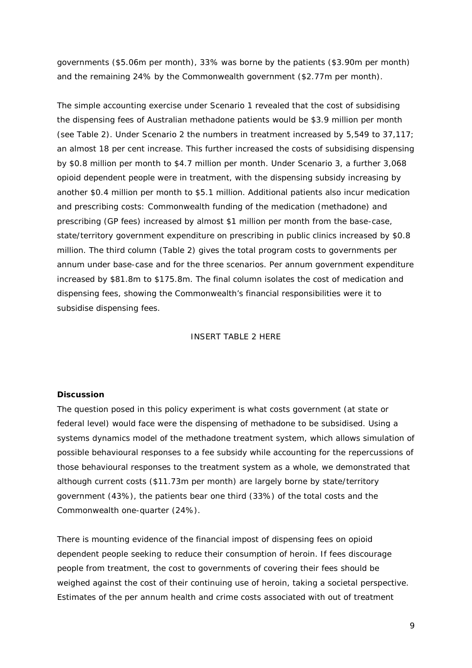governments (\$5.06m per month), 33% was borne by the patients (\$3.90m per month) and the remaining 24% by the Commonwealth government (\$2.77m per month).

The simple accounting exercise under Scenario 1 revealed that the cost of subsidising the dispensing fees of Australian methadone patients would be \$3.9 million per month (see Table 2). Under Scenario 2 the numbers in treatment increased by 5,549 to 37,117; an almost 18 per cent increase. This further increased the costs of subsidising dispensing by \$0.8 million per month to \$4.7 million per month. Under Scenario 3, a further 3,068 opioid dependent people were in treatment, with the dispensing subsidy increasing by another \$0.4 million per month to \$5.1 million. Additional patients also incur medication and prescribing costs: Commonwealth funding of the medication (methadone) and prescribing (GP fees) increased by almost \$1 million per month from the base-case, state/territory government expenditure on prescribing in public clinics increased by \$0.8 million. The third column (Table 2) gives the total program costs to governments per annum under base-case and for the three scenarios. Per annum government expenditure increased by \$81.8m to \$175.8m. The final column isolates the cost of medication and dispensing fees, showing the Commonwealth's financial responsibilities were it to subsidise dispensing fees.

INSERT TABLE 2 HERE

## **Discussion**

The question posed in this policy experiment is what costs government (at state or federal level) would face were the dispensing of methadone to be subsidised. Using a systems dynamics model of the methadone treatment system, which allows simulation of possible behavioural responses to a fee subsidy while accounting for the repercussions of those behavioural responses to the treatment system as a whole, we demonstrated that although current costs (\$11.73m per month) are largely borne by state/territory government (43%), the patients bear one third (33%) of the total costs and the Commonwealth one-quarter (24%).

There is mounting evidence of the financial impost of dispensing fees on opioid dependent people seeking to reduce their consumption of heroin. If fees discourage people from treatment, the cost to governments of covering their fees should be weighed against the cost of their continuing use of heroin, taking a societal perspective. Estimates of the per annum health and crime costs associated with out of treatment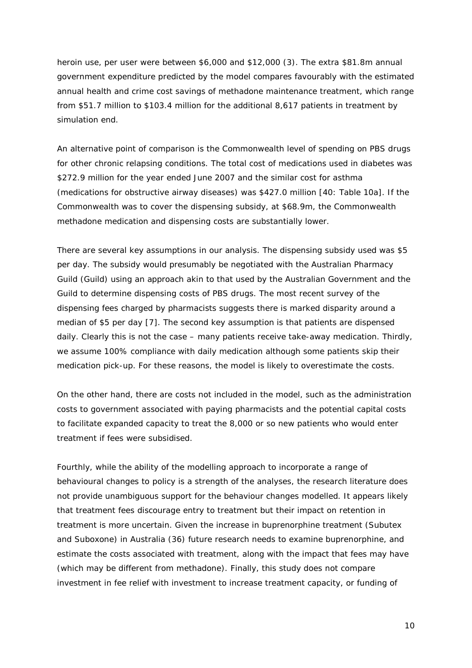heroin use, per user were between \$6,000 and \$12,000 (3). The extra \$81.8m annual government expenditure predicted by the model compares favourably with the estimated annual health and crime cost savings of methadone maintenance treatment, which range from \$51.7 million to \$103.4 million for the additional 8,617 patients in treatment by simulation end.

An alternative point of comparison is the Commonwealth level of spending on PBS drugs for other chronic relapsing conditions. The total cost of medications used in diabetes was \$272.9 million for the year ended June 2007 and the similar cost for asthma (medications for obstructive airway diseases) was \$427.0 million [40: Table 10a]. If the Commonwealth was to cover the dispensing subsidy, at \$68.9m, the Commonwealth methadone medication and dispensing costs are substantially lower.

There are several key assumptions in our analysis. The dispensing subsidy used was \$5 per day. The subsidy would presumably be negotiated with the Australian Pharmacy Guild (Guild) using an approach akin to that used by the Australian Government and the Guild to determine dispensing costs of PBS drugs. The most recent survey of the dispensing fees charged by pharmacists suggests there is marked disparity around a median of \$5 per day [7]. The second key assumption is that patients are dispensed daily. Clearly this is not the case – many patients receive take-away medication. Thirdly, we assume 100% compliance with daily medication although some patients skip their medication pick-up. For these reasons, the model is likely to overestimate the costs.

On the other hand, there are costs not included in the model, such as the administration costs to government associated with paying pharmacists and the potential capital costs to facilitate expanded capacity to treat the 8,000 or so new patients who would enter treatment if fees were subsidised.

Fourthly, while the ability of the modelling approach to incorporate a range of behavioural changes to policy is a strength of the analyses, the research literature does not provide unambiguous support for the behaviour changes modelled. It appears likely that treatment fees discourage entry to treatment but their impact on retention in treatment is more uncertain. Given the increase in buprenorphine treatment (Subutex and Suboxone) in Australia (36) future research needs to examine buprenorphine, and estimate the costs associated with treatment, along with the impact that fees may have (which may be different from methadone). Finally, this study does not compare investment in fee relief with investment to increase treatment capacity, or funding of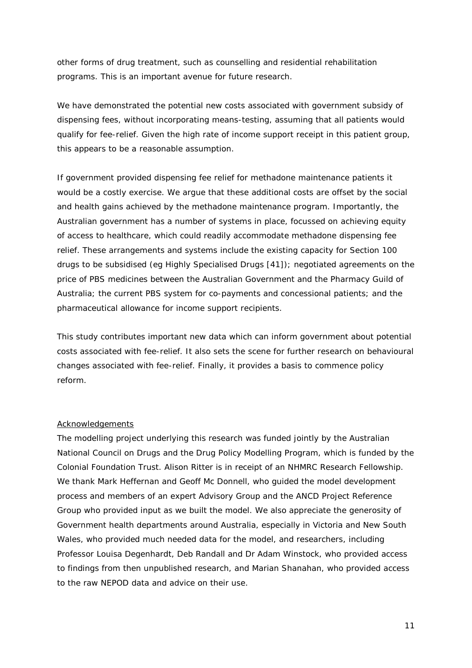other forms of drug treatment, such as counselling and residential rehabilitation programs. This is an important avenue for future research.

We have demonstrated the potential new costs associated with government subsidy of dispensing fees, without incorporating means-testing, assuming that all patients would qualify for fee-relief. Given the high rate of income support receipt in this patient group, this appears to be a reasonable assumption.

If government provided dispensing fee relief for methadone maintenance patients it would be a costly exercise. We argue that these additional costs are offset by the social and health gains achieved by the methadone maintenance program. Importantly, the Australian government has a number of systems in place, focussed on achieving equity of access to healthcare, which could readily accommodate methadone dispensing fee relief. These arrangements and systems include the existing capacity for Section 100 drugs to be subsidised (eg Highly Specialised Drugs [41]); negotiated agreements on the price of PBS medicines between the Australian Government and the Pharmacy Guild of Australia; the current PBS system for co-payments and concessional patients; and the pharmaceutical allowance for income support recipients.

This study contributes important new data which can inform government about potential costs associated with fee-relief. It also sets the scene for further research on behavioural changes associated with fee-relief. Finally, it provides a basis to commence policy reform.

#### Acknowledgements

The modelling project underlying this research was funded jointly by the Australian National Council on Drugs and the Drug Policy Modelling Program, which is funded by the Colonial Foundation Trust. Alison Ritter is in receipt of an NHMRC Research Fellowship. We thank Mark Heffernan and Geoff Mc Donnell, who guided the model development process and members of an expert Advisory Group and the ANCD Project Reference Group who provided input as we built the model. We also appreciate the generosity of Government health departments around Australia, especially in Victoria and New South Wales, who provided much needed data for the model, and researchers, including Professor Louisa Degenhardt, Deb Randall and Dr Adam Winstock, who provided access to findings from then unpublished research, and Marian Shanahan, who provided access to the raw NEPOD data and advice on their use.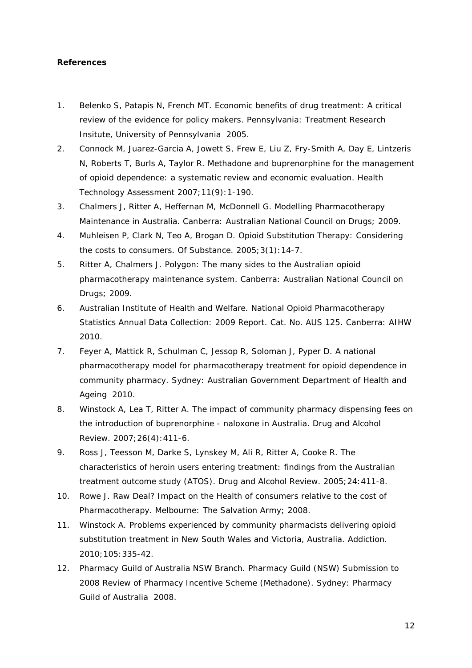### **References**

- 1. Belenko S, Patapis N, French MT. *Economic benefits of drug treatment: A critical review of the evidence for policy makers*. Pennsylvania: Treatment Research Insitute, University of Pennsylvania 2005.
- 2. Connock M, Juarez-Garcia A, Jowett S, Frew E, Liu Z, Fry-Smith A, Day E, Lintzeris N, Roberts T, Burls A, Taylor R. Methadone and buprenorphine for the management of opioid dependence: a systematic review and economic evaluation. *Health Technology Assessment* 2007;11(9):1-190.
- 3. Chalmers J, Ritter A, Heffernan M, McDonnell G. *Modelling Pharmacotherapy Maintenance in Australia*. Canberra: Australian National Council on Drugs; 2009.
- 4. Muhleisen P, Clark N, Teo A, Brogan D. Opioid Substitution Therapy: Considering the costs to consumers. *Of Substance*. 2005;3(1):14-7.
- 5. Ritter A, Chalmers J. *Polygon: The many sides to the Australian opioid pharmacotherapy maintenance system*. Canberra: Australian National Council on Drugs; 2009.
- 6. Australian Institute of Health and Welfare. *National Opioid Pharmacotherapy Statistics Annual Data Collection: 2009 Report. Cat. No. AUS 125*. Canberra: AIHW 2010.
- 7. Feyer A, Mattick R, Schulman C, Jessop R, Soloman J, Pyper D. *A national pharmacotherapy model for pharmacotherapy treatment for opioid dependence in community pharmacy*. Sydney: Australian Government Department of Health and Ageing 2010.
- 8. Winstock A, Lea T, Ritter A. The impact of community pharmacy dispensing fees on the introduction of buprenorphine - naloxone in Australia. *Drug and Alcohol Review*. 2007;26(4):411-6.
- 9. Ross J, Teesson M, Darke S, Lynskey M, Ali R, Ritter A, Cooke R. The characteristics of heroin users entering treatment: findings from the Australian treatment outcome study (ATOS). *Drug and Alcohol Review*. 2005;24:411-8.
- 10. Rowe J. *Raw Deal? Impact on the Health of consumers relative to the cost of Pharmacotherapy*. Melbourne: The Salvation Army; 2008.
- 11. Winstock A. Problems experienced by community pharmacists delivering opioid substitution treatment in New South Wales and Victoria, Australia. *Addiction*. 2010;105:335-42.
- 12. Pharmacy Guild of Australia NSW Branch. *Pharmacy Guild (NSW) Submission to 2008 Review of Pharmacy Incentive Scheme (Methadone)*. Sydney: Pharmacy Guild of Australia 2008.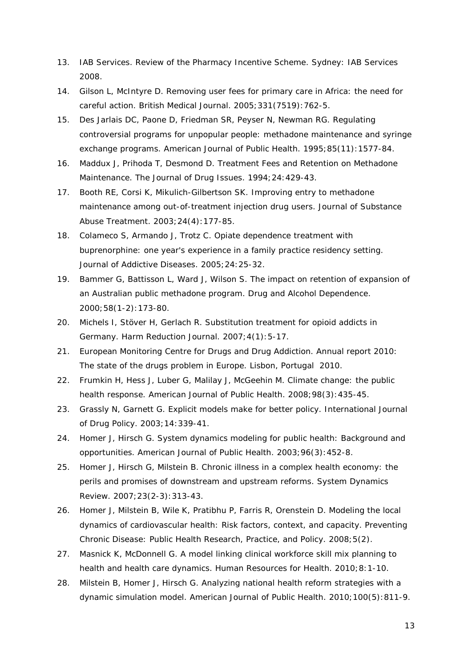- 13. IAB Services. *Review of the Pharmacy Incentive Scheme*. Sydney: IAB Services 2008.
- 14. Gilson L, McIntyre D. Removing user fees for primary care in Africa: the need for careful action. *British Medical Journal*. 2005;331(7519):762-5.
- 15. Des Jarlais DC, Paone D, Friedman SR, Peyser N, Newman RG. Regulating controversial programs for unpopular people: methadone maintenance and syringe exchange programs. *American Journal of Public Health*. 1995;85(11):1577-84.
- 16. Maddux J, Prihoda T, Desmond D. Treatment Fees and Retention on Methadone Maintenance. *The Journal of Drug Issues*. 1994;24:429-43.
- 17. Booth RE, Corsi K, Mikulich-Gilbertson SK. Improving entry to methadone maintenance among out-of-treatment injection drug users. *Journal of Substance Abuse Treatment*. 2003;24(4):177-85.
- 18. Colameco S, Armando J, Trotz C. Opiate dependence treatment with buprenorphine: one year's experience in a family practice residency setting. *Journal of Addictive Diseases*. 2005;24:25-32.
- 19. Bammer G, Battisson L, Ward J, Wilson S. The impact on retention of expansion of an Australian public methadone program. *Drug and Alcohol Dependence*. 2000;58(1-2):173-80.
- 20. Michels I, Stöver H, Gerlach R. Substitution treatment for opioid addicts in Germany. *Harm Reduction Journal*. 2007;4(1):5-17.
- 21. European Monitoring Centre for Drugs and Drug Addiction. *Annual report 2010: The state of the drugs problem in Europe*. Lisbon, Portugal 2010.
- 22. Frumkin H, Hess J, Luber G, Malilay J, McGeehin M. Climate change: the public health response. *American Journal of Public Health*. 2008;98(3):435-45.
- 23. Grassly N, Garnett G. Explicit models make for better policy. *International Journal of Drug Policy*. 2003;14:339-41.
- 24. Homer J, Hirsch G. System dynamics modeling for public health: Background and opportunities. *American Journal of Public Health*. 2003;96(3):452-8.
- 25. Homer J, Hirsch G, Milstein B. Chronic illness in a complex health economy: the perils and promises of downstream and upstream reforms. *System Dynamics Review*. 2007;23(2-3):313-43.
- 26. Homer J, Milstein B, Wile K, Pratibhu P, Farris R, Orenstein D. Modeling the local dynamics of cardiovascular health: Risk factors, context, and capacity. *Preventing Chronic Disease: Public Health Research, Practice, and Policy*. 2008;5(2).
- 27. Masnick K, McDonnell G. A model linking clinical workforce skill mix planning to health and health care dynamics. *Human Resources for Health*. 2010;8:1-10.
- 28. Milstein B, Homer J, Hirsch G. Analyzing national health reform strategies with a dynamic simulation model. *American Journal of Public Health*. 2010;100(5):811-9.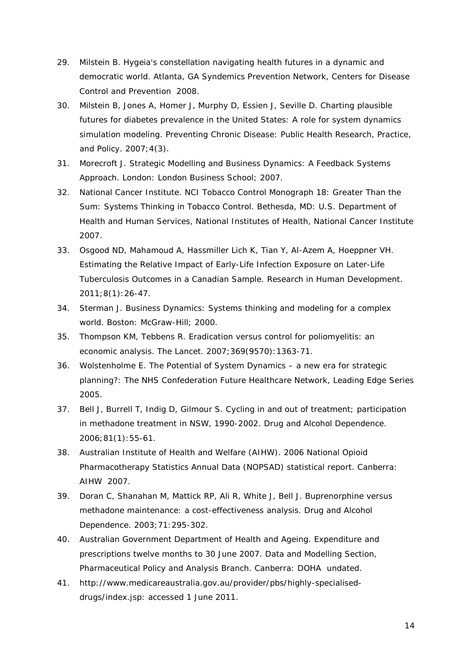- 29. Milstein B. *Hygeia's constellation navigating health futures in a dynamic and democratic world*. Atlanta, GA Syndemics Prevention Network, Centers for Disease Control and Prevention 2008.
- 30. Milstein B, Jones A, Homer J, Murphy D, Essien J, Seville D. Charting plausible futures for diabetes prevalence in the United States: A role for system dynamics simulation modeling. *Preventing Chronic Disease: Public Health Research, Practice, and Policy*. 2007;4(3).
- 31. Morecroft J. *Strategic Modelling and Business Dynamics: A Feedback Systems Approach*. London: London Business School; 2007.
- 32. National Cancer Institute. *NCI Tobacco Control Monograph 18: Greater Than the Sum: Systems Thinking in Tobacco Control.* Bethesda, MD: U.S. Department of Health and Human Services, National Institutes of Health, National Cancer Institute 2007.
- 33. Osgood ND, Mahamoud A, Hassmiller Lich K, Tian Y, Al-Azem A, Hoeppner VH. Estimating the Relative Impact of Early-Life Infection Exposure on Later-Life Tuberculosis Outcomes in a Canadian Sample. *Research in Human Development*. 2011;8(1):26-47.
- 34. Sterman J. *Business Dynamics: Systems thinking and modeling for a complex world*. Boston: McGraw-Hill; 2000.
- 35. Thompson KM, Tebbens R. Eradication versus control for poliomyelitis: an economic analysis. *The Lancet*. 2007;369(9570):1363-71.
- 36. Wolstenholme E. *The Potential of System Dynamics – a new era for strategic planning?*: The NHS Confederation Future Healthcare Network, Leading Edge Series 2005.
- 37. Bell J, Burrell T, Indig D, Gilmour S. Cycling in and out of treatment; participation in methadone treatment in NSW, 1990-2002. *Drug and Alcohol Dependence*. 2006;81(1):55-61.
- 38. Australian Institute of Health and Welfare (AIHW). *2006 National Opioid Pharmacotherapy Statistics Annual Data (NOPSAD) statistical report*. Canberra: AIHW 2007.
- 39. Doran C, Shanahan M, Mattick RP, Ali R, White J, Bell J. Buprenorphine versus methadone maintenance: a cost-effectiveness analysis. *Drug and Alcohol Dependence*. 2003;71:295-302.
- 40. Australian Government Department of Health and Ageing. *Expenditure and prescriptions twelve months to 30 June 2007. Data and Modelling Section, Pharmaceutical Policy and Analysis Branch*. Canberra: DOHA undated.
- 41. http://www.medicareaustralia.gov.au/provider/pbs/highly-specialiseddrugs/index.jsp: accessed 1 June 2011.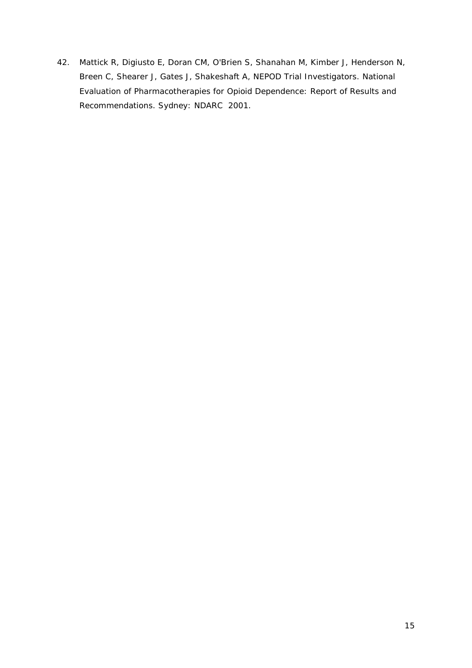42. Mattick R, Digiusto E, Doran CM, O'Brien S, Shanahan M, Kimber J, Henderson N, Breen C, Shearer J, Gates J, Shakeshaft A, NEPOD Trial Investigators. *National Evaluation of Pharmacotherapies for Opioid Dependence: Report of Results and Recommendations*. Sydney: NDARC 2001.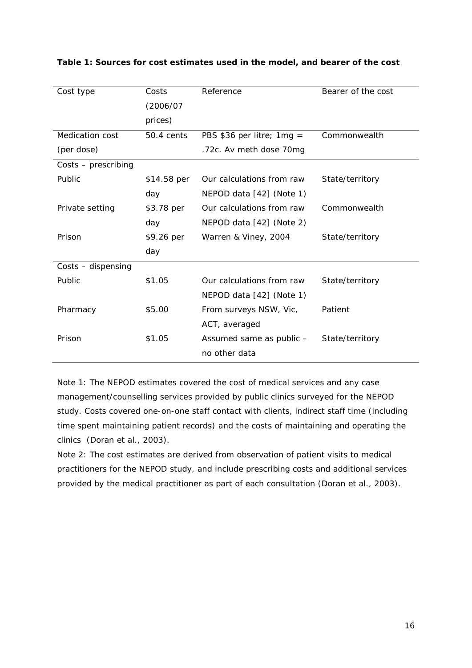| Cost type           | Costs       | Reference                   | Bearer of the cost |  |  |
|---------------------|-------------|-----------------------------|--------------------|--|--|
|                     | (2006/07    |                             |                    |  |  |
|                     | prices)     |                             |                    |  |  |
| Medication cost     | 50.4 cents  | PBS \$36 per litre; $1mg =$ | Commonwealth       |  |  |
| (per dose)          |             | .72c. Av meth dose 70mg     |                    |  |  |
| Costs - prescribing |             |                             |                    |  |  |
| Public              | \$14.58 per | Our calculations from raw   | State/territory    |  |  |
|                     | day         | NEPOD data [42] (Note 1)    |                    |  |  |
| Private setting     | \$3.78 per  | Our calculations from raw   | Commonwealth       |  |  |
|                     | day         | NEPOD data [42] (Note 2)    |                    |  |  |
| Prison              | \$9.26 per  | Warren & Viney, 2004        | State/territory    |  |  |
|                     | day         |                             |                    |  |  |
| Costs - dispensing  |             |                             |                    |  |  |
| Public              | \$1.05      | Our calculations from raw   | State/territory    |  |  |
|                     |             | NEPOD data [42] (Note 1)    |                    |  |  |
| Pharmacy            | \$5.00      | From surveys NSW, Vic,      | Patient            |  |  |
|                     |             | ACT, averaged               |                    |  |  |
| Prison              | \$1.05      | Assumed same as public -    | State/territory    |  |  |
|                     |             | no other data               |                    |  |  |

## **Table 1: Sources for cost estimates used in the model, and bearer of the cost**

Note 1: The NEPOD estimates covered the cost of medical services and any case management/counselling services provided by public clinics surveyed for the NEPOD study. Costs covered one-on-one staff contact with clients, indirect staff time (including time spent maintaining patient records) and the costs of maintaining and operating the clinics (Doran et al., 2003).

Note 2: The cost estimates are derived from observation of patient visits to medical practitioners for the NEPOD study, and include prescribing costs and additional services provided by the medical practitioner as part of each consultation (Doran et al., 2003).